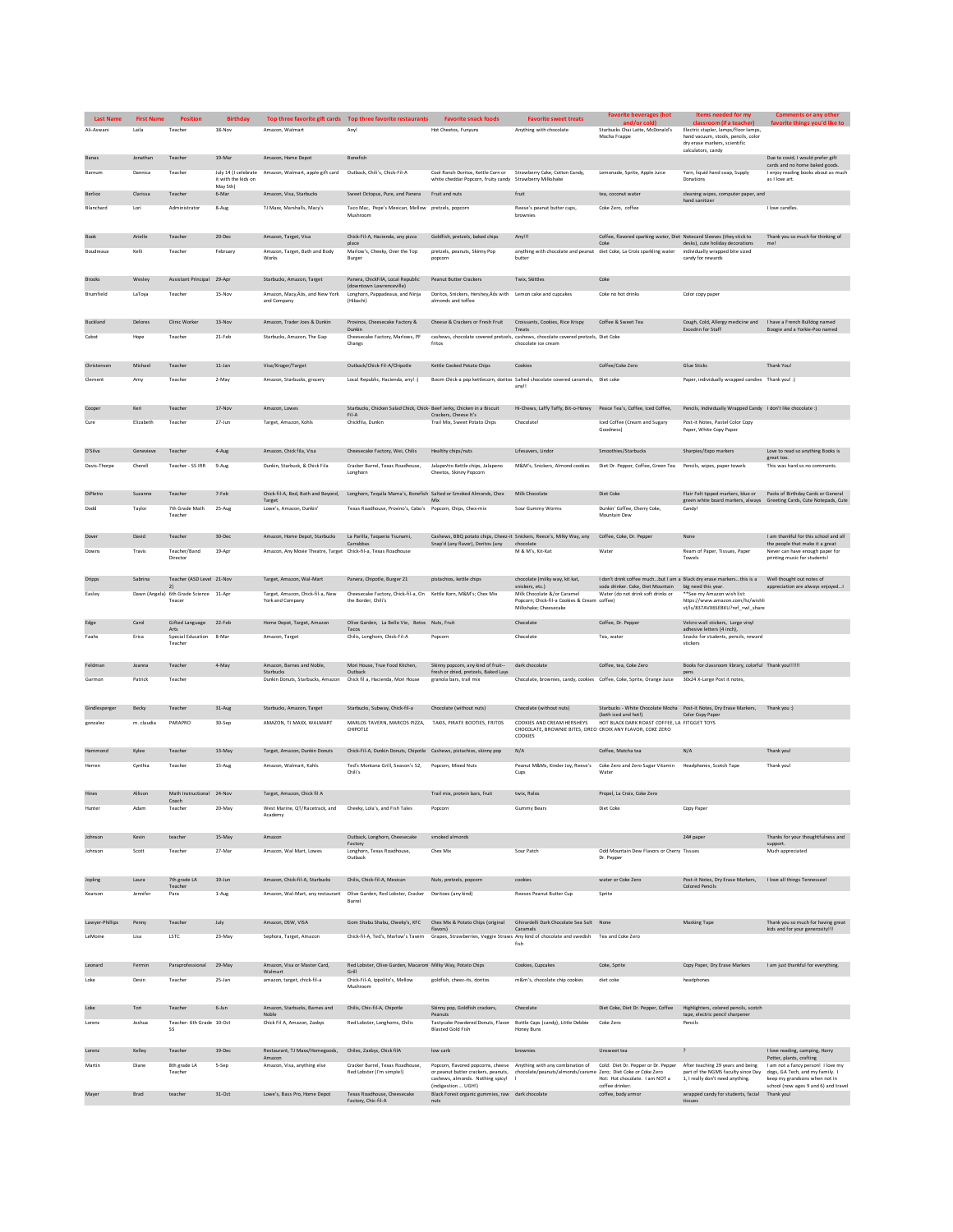| <b>Last Name</b> | <b>First Name</b> | <b>Position</b>                              | <b>Birthday</b>     |                                                                | Top three favorite gift cards  Top three favorite restaurants                    | <b>Favorite snack foods</b>                                                                                                   | <b>Favorite sweet treats</b>                                                                                                            | <b>Favorite beverages (hot</b>                                                            | Items needed for my                                                                                  | Comments or any other                                                    |
|------------------|-------------------|----------------------------------------------|---------------------|----------------------------------------------------------------|----------------------------------------------------------------------------------|-------------------------------------------------------------------------------------------------------------------------------|-----------------------------------------------------------------------------------------------------------------------------------------|-------------------------------------------------------------------------------------------|------------------------------------------------------------------------------------------------------|--------------------------------------------------------------------------|
| Ali-Aswan        | Laila             | Teacher                                      | 18-Nov              | Amazon, Walmart                                                | Any!                                                                             | Hot Cheetos, Funyuns                                                                                                          | Anything with chocolate                                                                                                                 | and/or cold)<br>Starbucks Chai Latte, McDonald's                                          | classroom (if a teacher)<br>Electric stapler, lamps/floor lamps,                                     | favorite things you'd like to                                            |
|                  |                   |                                              |                     |                                                                |                                                                                  |                                                                                                                               |                                                                                                                                         | Mocha Frappe                                                                              | hand vacuum, stools, pencils, color<br>dry erase markers, scientific                                 |                                                                          |
|                  |                   |                                              |                     |                                                                |                                                                                  |                                                                                                                               |                                                                                                                                         |                                                                                           | calculators, candy                                                                                   |                                                                          |
| Banas            | Jonathan          | Teacher                                      | 19-Mar              | Amazon, Home Depot                                             | Bonefish                                                                         |                                                                                                                               |                                                                                                                                         |                                                                                           |                                                                                                      | Due to covid, I would prefer gift<br>cards and no home baked goods.      |
| Barnum           | Dannica           | Teacher                                      | it with the kids on | July 14 (I celebrate Amazon, Walmart, apple gift card          | Outback, Chili's, Chick-Fil-A                                                    | Cool Ranch Doritos, Kettle Corn or Strawberry Cake, Cotton Candy,<br>white cheddar Popcorn, fruity candy Strawberry Milkshake |                                                                                                                                         | Lemonade, Sprite, Apple Juice                                                             | Yarn, liquid hand soap, Supply<br>Donations                                                          | I enjoy reading books about as much<br>as I love art.                    |
| Berlioz          | Clarissa          | Teacher                                      | May 5th)<br>6-Mar   | Amazon, Visa, Starbucks                                        | Sweet Octopus, Pure, and Panera                                                  | Fruit and nuts                                                                                                                | fruit                                                                                                                                   | tea_coconut_water                                                                         | cleaning wipes, computer paper, and                                                                  |                                                                          |
|                  |                   |                                              |                     |                                                                |                                                                                  |                                                                                                                               |                                                                                                                                         | Coke Zero coffee                                                                          | hand sanitizer                                                                                       | Llove candles                                                            |
| Blanchard        | Lori              | Administrator                                | 8-Aug               | TJ Maxx, Marshalls, Macy's                                     | Taco Mac, Pepe's Mexican, Mellow pretzels, popcorn<br>Mushroom                   |                                                                                                                               | Reese's peanut butter cups,<br>brownies                                                                                                 |                                                                                           |                                                                                                      |                                                                          |
|                  |                   |                                              |                     |                                                                |                                                                                  |                                                                                                                               |                                                                                                                                         |                                                                                           |                                                                                                      |                                                                          |
| Book             | Arielle           | Teacher                                      | 20-Dec              | Amazon, Target, Visa                                           | Chick-Fil-A, Hacienda, any pizza<br>place                                        | Goldfish, pretzels, baked chips                                                                                               | Any!!!                                                                                                                                  | Coffee, flavored sparking water, Diet Notecard Sleeves (they stick to<br>Coke             | desks), cute holiday decorations                                                                     | Thank you so much for thinking of<br>me!                                 |
| Boudreaux        | Kelli             | Teacher                                      | February            | Amazon, Target, Bath and Body<br>Works                         | Marlow's, Cheeky, Over the Top<br>Burger                                         | pretzels, peanuts, Skinny Pop<br>popcom                                                                                       | anything with chocolate and peanut diet Coke, La Croix sparkling water<br>butter                                                        |                                                                                           | individually wrapped bite sized<br>candy for rewards                                                 |                                                                          |
|                  |                   |                                              |                     |                                                                |                                                                                  |                                                                                                                               |                                                                                                                                         |                                                                                           |                                                                                                      |                                                                          |
| <b>Brooks</b>    | Wesley            | Assistant Principal 29-Apr                   |                     | Starbucks, Amazon, Target                                      | Panera, ChickFilA, Local Republic                                                | Peanut Butter Crackers                                                                                                        | Twix, Skittles                                                                                                                          | Coke                                                                                      |                                                                                                      |                                                                          |
| Brumfield        | LaToya            | Teacher                                      | 15-Nov              | Amazon, Macy, Aos, and New York                                | (downtown Lawrenceville)<br>Longhorn, Pappadeaux, and Ninia                      | Doritos, Snickers, Hershey, Äös with Lemon cake and cupcakes                                                                  |                                                                                                                                         | Coke no hot drinks                                                                        | Color copy paper                                                                                     |                                                                          |
|                  |                   |                                              |                     | and Company                                                    | (Hibachi)                                                                        | almonds and toffee                                                                                                            |                                                                                                                                         |                                                                                           |                                                                                                      |                                                                          |
| Buckland         | Delores           | Clinic Worker                                | $13 - Nov$          | Amazon, Trader Joes & Dunkin                                   | Provinos, Cheesecake Factory &                                                   | Cheese & Crackers or Fresh Fruit                                                                                              | Croissants, Cookies, Rice Krispy                                                                                                        | Coffee & Sweet Tea                                                                        | Cough, Cold, Allergy medicine and                                                                    | I have a French Bulldog named                                            |
| Cabot            |                   | Teacher                                      | 21-Feb              |                                                                | Dunkin                                                                           |                                                                                                                               | Treats                                                                                                                                  |                                                                                           | <b>Excedrin for Staff</b>                                                                            | Boogie and a Yorkie-Poo named                                            |
|                  | Hope              |                                              |                     | Starbucks, Amazon, The Gap                                     | Cheesecake Factory, Marlows, PF<br>Changs                                        | fritos                                                                                                                        | cashews, chocolate covered pretzels, cashews, chocolate covered pretzels, Diet Coke<br>chocolate ice cream                              |                                                                                           |                                                                                                      |                                                                          |
|                  |                   |                                              |                     |                                                                |                                                                                  |                                                                                                                               |                                                                                                                                         |                                                                                           |                                                                                                      |                                                                          |
| Christensen      | Michael           | Teacher                                      | $11$ -Jan           | Visa/Kroger/Target                                             | Outback/Chick-Fil-A/Chipotle                                                     | Kettle Cooked Potato Chips                                                                                                    | Cookies                                                                                                                                 | Coffee/Coke Zero                                                                          | Glue Sticks                                                                                          | Thank You!                                                               |
| Clement          | Amy               | Teacher                                      | 2-May               | Amazon, Starbucks, grocery                                     | Local Republic, Hacienda, any! :)                                                |                                                                                                                               | Boom Chick-a pop kettlecorn, doritos Salted chocolate covered caramels,<br>any!!                                                        | Diet coke                                                                                 | Paper, individually wrapped candies Thank you! :)                                                    |                                                                          |
|                  |                   |                                              |                     |                                                                |                                                                                  |                                                                                                                               |                                                                                                                                         |                                                                                           |                                                                                                      |                                                                          |
| Cooper           | Keri              | Teacher                                      | 17-Nov              | Amazon, Lowes                                                  | Starbucks, Chicken Salad Chick, Chick- Beef Jerky, Chicken in a Biscuit<br>Fil-A | Crackers, Cheese It's                                                                                                         | Hi-Chews, Laffy Taffy, Bit-o-Honey Peace Tea's, Coffee, Iced Coffee,                                                                    |                                                                                           | Pencils, Individually Wrapped Candy I don't like chocolate :)                                        |                                                                          |
| Cure             | Elizabeth         | Teacher                                      | 27-Jun              | Target, Amazon, Kohls                                          | Chickfila, Dunkin                                                                | Trail Mix, Sweet Potato Chips                                                                                                 | Chocolate                                                                                                                               | Iced Coffee (Cream and Sugary                                                             | Post-it Notes, Pastel Color Copy                                                                     |                                                                          |
|                  |                   |                                              |                     |                                                                |                                                                                  |                                                                                                                               |                                                                                                                                         | Goodness)                                                                                 | Paper, White Copy Paper                                                                              |                                                                          |
| D'Silva          | Genevieve         | Teacher                                      | 4-Aug               | Amazon, Chick fila, Visa                                       | Cheesecake Factory Wei Chilis                                                    | Healthy chips/nuts                                                                                                            | Lifesavers, Lindon                                                                                                                      | Smoothies/Starbucks                                                                       | Sharpies/Expo markers                                                                                | Love to read so anything Books is                                        |
| Davis-Thorpe     | Cherell           | Teacher - SS IRR                             | 9-Aug               | Dunkin, Starbuck, & Chick Fila                                 | Cracker Barrel, Texas Roadhouse,                                                 | Jalapevito Kettle chips, Jalapeno                                                                                             | M&M's, Snickers, Almond cookies                                                                                                         | Diet Dr. Pepper, Coffee, Green Tea                                                        | Pencils, wipes, paper towels                                                                         | great too.<br>This was hard so no comments.                              |
|                  |                   |                                              |                     |                                                                | Longhorn                                                                         | Cheetos, Skinny Popcorn                                                                                                       |                                                                                                                                         |                                                                                           |                                                                                                      |                                                                          |
| DiPletro         | Suzanne           | Teacher                                      | 7-Feb               |                                                                |                                                                                  |                                                                                                                               | Milk Chocolate                                                                                                                          | Diet Coke                                                                                 | Flair Felt tipped markers, blue or                                                                   | Packs of Birthday Cards or General                                       |
|                  |                   |                                              |                     | Chick-fil-A, Bed, Bath and Beyond,<br>Target                   | Longhorn, Tequila Mama's, Bonefish Salted or Smoked Almonds, Chex                | Mix                                                                                                                           |                                                                                                                                         |                                                                                           | green white board markers, always Greeting Cards, Cute Notepads, Cute                                |                                                                          |
| Dodd             | Taylor            | 7th Grade Math<br>Teacher                    | 25-Aug              | Lowe's, Amazon, Dunkin                                         | Texas Roadhouse, Provino's, Cabo's Popcorn, Chips, Chex-mix                      |                                                                                                                               | Sour Gummy Worms                                                                                                                        | Dunkin' Coffee, Cherry Coke,<br>Mountain Dew                                              | Candy!                                                                                               |                                                                          |
|                  |                   |                                              |                     |                                                                |                                                                                  |                                                                                                                               |                                                                                                                                         |                                                                                           |                                                                                                      |                                                                          |
| Dover            | David             | Teacher                                      | 30-Dec              | Amazon, Home Depot, Starbucks                                  | La Parilla, Taqueria Tsunami,<br>Carrabbas                                       | Cashews, BBQ potato chips, Cheez-it Snickers, Reece's, Milky Way, any<br>Snap'd (any flavor), Doritos (any                    | chocolate                                                                                                                               | Coffee, Coke, Dr. Pepper                                                                  | None                                                                                                 | I am thankful for this school and all<br>the people that make it a great |
| Downs            | Travis            | Teacher/Rand<br>Director                     | 19-Apr              | Amazon, Any Movie Theatre, Target Chick-fil-a, Texas Roadhouse |                                                                                  |                                                                                                                               | M & M's, Kit-Kat                                                                                                                        | Water                                                                                     | Ream of Paper, Tissues, Paper<br>Towels                                                              | Never can have enough paper for<br>printing music for students!          |
|                  |                   |                                              |                     |                                                                |                                                                                  |                                                                                                                               |                                                                                                                                         |                                                                                           |                                                                                                      |                                                                          |
| Dripps           | Sabrina           | Teacher (ASD Level 21-Nov                    |                     | Target, Amazon, Wal-Mart                                       | Panera, Chipotle, Burger 21                                                      | pistachios, kettle chips                                                                                                      | chocolate (milky way, kit kat,                                                                                                          | I don't drink coffee muchbut I am a Black dry erase markersthis is a                      |                                                                                                      | Well thought out notes of                                                |
| Easley           |                   | 2)<br>Dawn (Angela) 6th Grade Science 11-Apr |                     | Target, Amazon, Chick-fil-a, New                               | Cheesecake Factory, Chick-fil-a, On                                              | Kettle Korn, M&M's; Chex Mix                                                                                                  | snickers, etc.)<br>Milk Chocolate &/or Caramel                                                                                          | soda drinker. Coke, Diet Mountain<br>Water (do not drink soft drinks or                   | big need this year.<br>**See my Amazon wish list:                                                    | appreciation are always enjoyed!                                         |
|                  |                   | Teacer                                       |                     | York and Company                                               | the Border, Chili's                                                              |                                                                                                                               | Popcorn; Chick-fil-a Cookies & Cream coffee)<br>Milkshake; Cheesecake                                                                   |                                                                                           | https://www.amazon.com/hz/wishli<br>st/ls/837AVX6SEBKU?ref_=wl_share                                 |                                                                          |
| Edge             | Carol             | Gifted Language                              | 22-Feb              | Home Depot, Target, Amazon                                     | Olive Garden, La Belle Vie, Betos Nuts, Fruit                                    |                                                                                                                               | Chocolate                                                                                                                               | Coffee, Dr. Pepper                                                                        | Velcro wall stickers, Large vinyl                                                                    |                                                                          |
|                  | Erica             | Arts<br>Special Education 8-Mar              |                     |                                                                | Tacos<br>Chilis, Longhorn, Chick-Fil-A                                           |                                                                                                                               | Chocolate                                                                                                                               |                                                                                           | adhesive letters (4 inch),<br>Snacks for students, pencils, reward                                   |                                                                          |
| Faahs            |                   | Teacher                                      |                     | Amazon, Target                                                 |                                                                                  | Popcorn                                                                                                                       |                                                                                                                                         | Tea, water                                                                                | stickers                                                                                             |                                                                          |
|                  |                   |                                              |                     |                                                                |                                                                                  |                                                                                                                               |                                                                                                                                         |                                                                                           |                                                                                                      |                                                                          |
| Feldman          | Joanna            | Teacher                                      | 4-May               | Amazon, Barnes and Noble<br>Starbucks                          | Mori House, True Food Kitchen,<br>Outback                                        | Skinny popcorn, any kind of fruit--<br>fresh or dried, pretzels, Baked Lays                                                   | dark chocolate                                                                                                                          | Coffee, tea, Coke Zero                                                                    | Books for classroom library, colorful Thank you!!!!!!<br>pens                                        |                                                                          |
| Garmon           | Patrick           | Teacher                                      |                     | Dunkin Donuts, Starbucks, Amazon                               | Chick fil a, Hacienda, Mori House                                                | granola bars, trail mix                                                                                                       | Chocolate, brownies, candy, cookies Coffee, Coke, Sprite, Orange Juice                                                                  |                                                                                           | 30x24 X-Large Post it notes                                                                          |                                                                          |
|                  |                   |                                              |                     |                                                                |                                                                                  |                                                                                                                               |                                                                                                                                         |                                                                                           |                                                                                                      |                                                                          |
| Gindlesperger    | Becky             | Teacher                                      | 31-Aug              | Starbucks, Amazon, Target                                      | Starbucks, Subway, Chick-fil-a                                                   | Chocolate (without nuts)                                                                                                      | Chocolate (without nuts)                                                                                                                | (both iced and hot!)                                                                      | Starbucks - White Chocolate Mocha Post-it Notes, Dry Erase Markers, Thank you :)<br>Color Copy Paper |                                                                          |
| gonzalez         | m. claudia        | PARAPRO                                      | 30-Sep              | AMAZON, TJ MAXX, WALMART                                       | MARLOS TAVERN, MARCOS PIZZA.                                                     | TAKIS, PIRATE BOOTIES, FRITOS                                                                                                 | COOKIES AND CREAM HERSHEYS<br>CHOCOLATE, BROWNIE BITES, OREO CROIX ANY FLAVOR, COKE ZERO                                                | HOT BLACK DARK ROAST COFFEE, LA FITGGET TOYS                                              |                                                                                                      |                                                                          |
|                  |                   |                                              |                     |                                                                | CHIPOTLE                                                                         |                                                                                                                               | COOKIES                                                                                                                                 |                                                                                           |                                                                                                      |                                                                          |
| Hammond          | Kylee             | Teacher                                      | 13-May              | Target, Amazon, Dunkin Donuts                                  | Chick-Fil-A. Dunkin Donuts. Chipotle Cashews, pistachios, skinny pop             |                                                                                                                               | N/A                                                                                                                                     | Coffee, Matcha tea                                                                        | N/A                                                                                                  | Thank you!                                                               |
| Herren           | Cynthia           | Teacher                                      | 15-Aug              | Amazon, Walmart, Kohls                                         | Ted's Montana Grill, Season's 52, Popcorn, Mixed Nuts                            |                                                                                                                               |                                                                                                                                         | Peanut M&Ms, Kinder Joy, Reese's Coke Zero and Zero Sugar Vitamin Headphones, Scotch Tape |                                                                                                      | Thank you!                                                               |
|                  |                   |                                              |                     |                                                                | Chili's                                                                          |                                                                                                                               | Cups                                                                                                                                    | Water                                                                                     |                                                                                                      |                                                                          |
| Hines            | Allison           | Math Instructional 24-Nov                    |                     | Target, Amazon, Chick fil A                                    |                                                                                  | Trail mix, protein bars, fruit                                                                                                | twix, Rolos                                                                                                                             | Propel, La Croix, Coke Zero                                                               |                                                                                                      |                                                                          |
|                  |                   | Coach                                        |                     |                                                                |                                                                                  |                                                                                                                               |                                                                                                                                         |                                                                                           |                                                                                                      |                                                                          |
|                  |                   |                                              |                     | QT/Racetrack, and<br>Academy                                   | Cheeky, Lola's, and Fish Tales                                                   |                                                                                                                               |                                                                                                                                         |                                                                                           |                                                                                                      |                                                                          |
|                  |                   |                                              |                     |                                                                |                                                                                  |                                                                                                                               |                                                                                                                                         |                                                                                           |                                                                                                      |                                                                          |
| Johnson          | Kevin             | teacher                                      | 15-May              | Amazon                                                         | Outback, Longhorn, Cheesecake<br>Factory                                         | smoked almonds                                                                                                                |                                                                                                                                         |                                                                                           | 24# paper                                                                                            | Thanks for your thoughtfulness and<br>support.                           |
| Johnson          | Scott             | Teache                                       | 27-Mar              | Amazon, Wal Mart, Lowes                                        | Longhorn, Texas Roadhouse,<br>Outback                                            | Chex Mix                                                                                                                      | Sour Patch                                                                                                                              | Odd Mountain Dew Flavors or Cherry Tissues<br>Dr. Pepper                                  |                                                                                                      | Much appreciated                                                         |
|                  |                   |                                              |                     |                                                                |                                                                                  |                                                                                                                               |                                                                                                                                         |                                                                                           |                                                                                                      |                                                                          |
| Jopling          | Laura             | 7th grade LA                                 | 19-Jun              | Amazon, Chick-fil-A, Starbucks                                 | Chilis, Chick-fil-A, Mexican                                                     | Nuts, pretzels, popcorn                                                                                                       | cookies                                                                                                                                 | water or Coke Zero                                                                        | Post-it Notes, Dry Erase Markers, I love all things Tennessee!<br><b>Colored Pencils</b>             |                                                                          |
| Kearson          | Jennifer          | Teacher<br>Para                              | 1-Aug               | Amazon Wal-Mart any restaurant                                 | Olive Garden, Red Lobster, Cracker Doritoes (any kind)                           |                                                                                                                               | Reeses Peanut Butter Cun                                                                                                                | Sprite                                                                                    |                                                                                                      |                                                                          |
|                  |                   |                                              |                     |                                                                | Barrel                                                                           |                                                                                                                               |                                                                                                                                         |                                                                                           |                                                                                                      |                                                                          |
| Lawyer-Phillips  | Penny             | Teacher                                      | July                | Amazon, DSW, VISA                                              | Gom Shabu Shabu, Cheeky's, KFC                                                   | Chex Mix & Potato Chips (original                                                                                             | Ghirardelli Dark Chocolate Sea Salt None                                                                                                |                                                                                           | Masking Tape                                                                                         | Thank you so much for having great                                       |
| LeMoine          | Lisa              | LSTC                                         | 23-May              | Sephora, Target, Amazon                                        |                                                                                  | flavors)                                                                                                                      | Caramels<br>Chick-fil-A, Ted's, Marlow's Tavern Grapes, Strawberries, Veggie Straws Any kind of chocolate and swedish Tea and Coke Zero |                                                                                           |                                                                                                      | kids and for your generosity!!!                                          |
|                  |                   |                                              |                     |                                                                |                                                                                  |                                                                                                                               | fish                                                                                                                                    |                                                                                           |                                                                                                      |                                                                          |
| Leonard          | Fermin            | Paraprofessional                             | 29-May              | Amazon, Visa or Master Card,                                   | Red Lobster, Olive Garden, Macaroni Milky Way, Potato Chips                      |                                                                                                                               |                                                                                                                                         |                                                                                           |                                                                                                      | I am just thankful for everything.                                       |
|                  |                   |                                              |                     | Walmart                                                        | Grill                                                                            |                                                                                                                               | Cookies, Cupcakes                                                                                                                       | Coke, Sprite                                                                              | Copy Paper, Dry Erase Markers                                                                        |                                                                          |
| Loke             | Devin             | Teacher                                      | 25-Jan              | amazon, target, chick-fil-a                                    | Chick-Fil-A, Ippolito's, Mellow<br>Mushroom                                      | goldfish, cheez-its, doritos                                                                                                  | m&m's, chocolate chip cookies                                                                                                           | diet coke                                                                                 | headphones                                                                                           |                                                                          |
|                  |                   |                                              |                     |                                                                |                                                                                  |                                                                                                                               |                                                                                                                                         |                                                                                           |                                                                                                      |                                                                          |
| Loke             | Tori              | Teacher                                      | 6-Jun               | Amazon, Starbucks, Barnes and<br>Noble                         | Chilis, Chic-fil-A, Chipotle                                                     | Skinny pop, Goldfish crackers,<br>Peanuts                                                                                     | Chocolate                                                                                                                               | Diet Coke, Diet Dr. Pepper, Coffee                                                        | Highlighters, colored pencils, scotch<br>tape, electric pencil sharpener                             |                                                                          |
| Lorenz           | Joshua            | Teacher- 6th Grade 10-Oct<br>SS              |                     | Chick Fil A, Amazon, Zaxbys                                    | Red Lobster, Longhorns, Chilis                                                   | Tastycake Powdered Donuts, Flavor Bottle Caps (candy), Little Debbie<br>Blasted Gold Fish                                     | Honey Buns                                                                                                                              | Coke Zero                                                                                 | Pencils                                                                                              |                                                                          |
|                  |                   |                                              |                     |                                                                |                                                                                  |                                                                                                                               |                                                                                                                                         |                                                                                           |                                                                                                      |                                                                          |
| Lorenz           | Kelley            | Teacher                                      | 19-Dec              | Restaurant, TJ Maxx/Homegoods,                                 | Chiles, Zaxbys, Chick filA                                                       | low carb                                                                                                                      | brownies                                                                                                                                | Unsweet tea                                                                               |                                                                                                      | I love reading, camping, Harry                                           |
| Martin           | Diane             | 8th grade LA                                 | 5-Sep               | Amazon<br>Amazon, Visa, anything else                          | Cracker Barrel, Texas Roadhouse,                                                 | Popcorn, flavored popcorns, cheese Anything with any combination of                                                           |                                                                                                                                         | Cold: Diet Dr. Pepper or Dr. Pepper                                                       | After teaching 29 years and being                                                                    | Potter, plants, crafting<br>I am not a fancy person! I love my           |
|                  |                   | Teacher                                      |                     |                                                                | Red Lobster (I'm simple!)                                                        | or peanut butter crackers, peanuts,<br>cashews, almonds. Nothing spicy!                                                       | chocolate/peanuts/almonds/carame Zero; Diet Coke or Coke Zero                                                                           | Hot: Hot chocolate. I am NOT a                                                            | part of the NGMS faculty since Day<br>1, I really don't need anything.                               | dogs, GA Tech, and my family. I<br>keep my grandsons when not in         |
| Mayer            | Brad              | teacher                                      | $31-Oct$            | Lowe's, Bass Pro, Home Depot                                   | Texas Roadhouse, Cheesecake                                                      | (indigestion  UGH!)<br>Black Forest organic gummies, raw dark chocolate                                                       |                                                                                                                                         | coffee drinker.<br>coffee, body armor                                                     | wrapped candy for students, facial                                                                   | school (now ages 9 and 6) and travel<br>Thank you!                       |
|                  |                   |                                              |                     |                                                                | Factory, Chic-fil-A                                                              | nuts                                                                                                                          |                                                                                                                                         |                                                                                           | tissues                                                                                              |                                                                          |